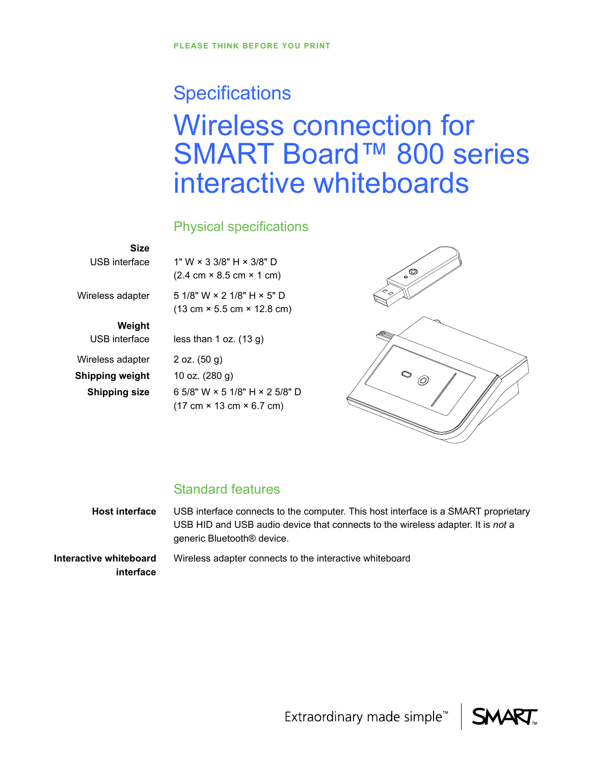# **Specifications** Wireless connection for SMART Board™ 800 series interactive whiteboards

## Physical specifications

### **Size** USB interface

1" W × 3 3/8" H × 3/8" D  $(2.4 \text{ cm} \times 8.5 \text{ cm} \times 1 \text{ cm})$ 

5 1/8" W × 2 1/8" H × 5" D (13 cm × 5.5 cm × 12.8 cm)

**Weight**

USB interface Wireless adapter **Shipping weight** 10 oz. (280 g)

Wireless adapter

less than 1 oz. (13 g)

2 oz. (50 g) **Shipping size** 6 5/8" W × 5 1/8" H × 2 5/8" D (17 cm × 13 cm × 6.7 cm)



# Standard features

**Host interface** USB interface connects to the computer. This host interface is a SMART proprietary USB HID and USB audio device that connects to the wireless adapter. It is *not* a generic Bluetooth® device. **Interactive whiteboard interface** Wireless adapter connects to the interactive whiteboard

Extraordinary made simple<sup>™</sup>

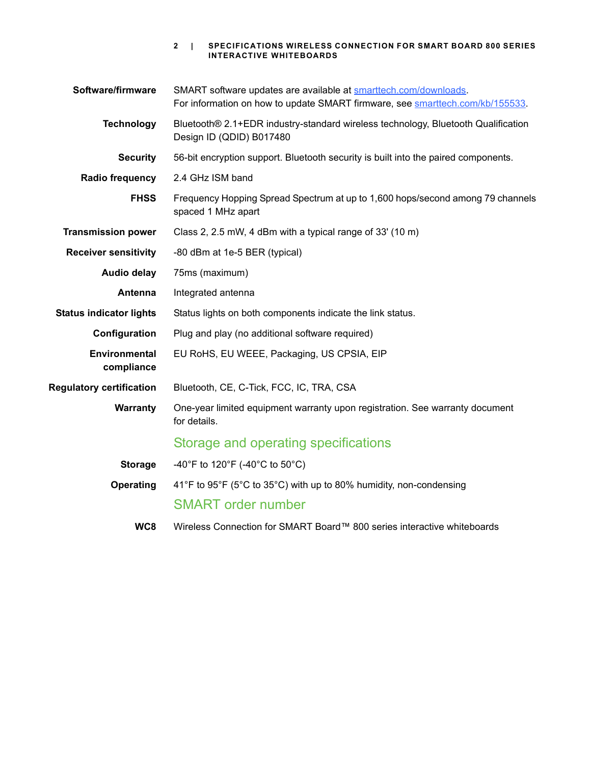|  | 2   SPECIFICATIONS WIRELESS CONNECTION FOR SMART BOARD 800 SERIES |
|--|-------------------------------------------------------------------|
|  | INTERACTIVE WHITEBOARDS                                           |

| Software/firmware               | SMART software updates are available at smarttech.com/downloads.<br>For information on how to update SMART firmware, see smarttech.com/kb/155533. |
|---------------------------------|---------------------------------------------------------------------------------------------------------------------------------------------------|
| <b>Technology</b>               | Bluetooth® 2.1+EDR industry-standard wireless technology, Bluetooth Qualification<br>Design ID (QDID) B017480                                     |
| <b>Security</b>                 | 56-bit encryption support. Bluetooth security is built into the paired components.                                                                |
| Radio frequency                 | 2.4 GHz ISM band                                                                                                                                  |
| <b>FHSS</b>                     | Frequency Hopping Spread Spectrum at up to 1,600 hops/second among 79 channels<br>spaced 1 MHz apart                                              |
| <b>Transmission power</b>       | Class 2, 2.5 mW, 4 dBm with a typical range of 33' (10 m)                                                                                         |
| <b>Receiver sensitivity</b>     | -80 dBm at 1e-5 BER (typical)                                                                                                                     |
| Audio delay                     | 75ms (maximum)                                                                                                                                    |
| <b>Antenna</b>                  | Integrated antenna                                                                                                                                |
| <b>Status indicator lights</b>  | Status lights on both components indicate the link status.                                                                                        |
| Configuration                   | Plug and play (no additional software required)                                                                                                   |
| Environmental<br>compliance     | EU RoHS, EU WEEE, Packaging, US CPSIA, EIP                                                                                                        |
| <b>Regulatory certification</b> | Bluetooth, CE, C-Tick, FCC, IC, TRA, CSA                                                                                                          |
| <b>Warranty</b>                 | One-year limited equipment warranty upon registration. See warranty document<br>for details.                                                      |
|                                 | Storage and operating specifications                                                                                                              |
| <b>Storage</b>                  | -40°F to 120°F (-40°C to 50°C)                                                                                                                    |
| Operating                       | 41°F to 95°F (5°C to 35°C) with up to 80% humidity, non-condensing                                                                                |
|                                 | <b>SMART</b> order number                                                                                                                         |
| WC <sub>8</sub>                 | Wireless Connection for SMART Board™ 800 series interactive whiteboards                                                                           |